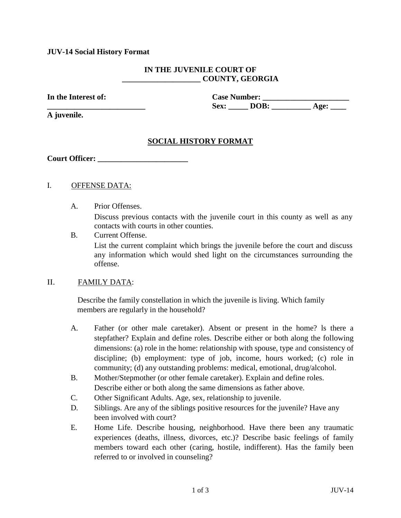### **JUV-14 Social History Format**

# **IN THE JUVENILE COURT OF \_\_\_\_\_\_\_\_\_\_\_\_\_\_\_\_\_\_\_\_ COUNTY, GEORGIA**

In the Interest of: Case Number: **Sex: DOB:** Age:

**A juvenile.**

# **SOCIAL HISTORY FORMAT**

**Court Officer:**  $\blacksquare$ 

# I. OFFENSE DATA:

A. Prior Offenses.

Discuss previous contacts with the juvenile court in this county as well as any contacts with courts in other counties.

B. Current Offense.

List the current complaint which brings the juvenile before the court and discuss any information which would shed light on the circumstances surrounding the offense.

#### II. FAMILY DATA:

Describe the family constellation in which the juvenile is living. Which family members are regularly in the household?

- A. Father (or other male caretaker). Absent or present in the home? ls there a stepfather? Explain and define roles. Describe either or both along the following dimensions: (a) role in the home: relationship with spouse, type and consistency of discipline; (b) employment: type of job, income, hours worked; (c) role in community; (d) any outstanding problems: medical, emotional, drug/alcohol.
- B. Mother/Stepmother (or other female caretaker). Explain and define roles. Describe either or both along the same dimensions as father above.
- C. Other Significant Adults. Age, sex, relationship to juvenile.
- D. Siblings. Are any of the siblings positive resources for the juvenile? Have any been involved with court?
- E. Home Life. Describe housing, neighborhood. Have there been any traumatic experiences (deaths, illness, divorces, etc.)? Describe basic feelings of family members toward each other (caring, hostile, indifferent). Has the family been referred to or involved in counseling?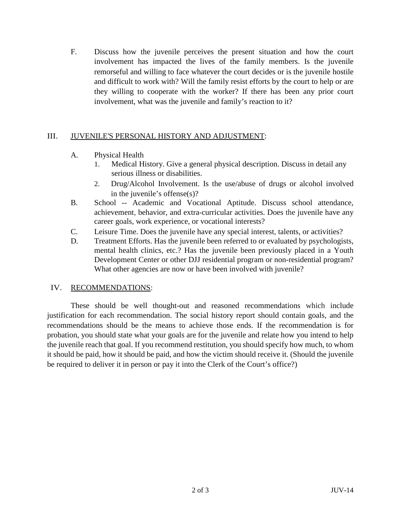F. Discuss how the juvenile perceives the present situation and how the court involvement has impacted the lives of the family members. Is the juvenile remorseful and willing to face whatever the court decides or is the juvenile hostile and difficult to work with? Will the family resist efforts by the court to help or are they willing to cooperate with the worker? If there has been any prior court involvement, what was the juvenile and family's reaction to it?

# III. JUVENILE'S PERSONAL HISTORY AND ADJUSTMENT:

- A. Physical Health
	- 1. Medical History. Give a general physical description. Discuss in detail any serious illness or disabilities.
	- 2. Drug/Alcohol Involvement. Is the use/abuse of drugs or alcohol involved in the juvenile's offense(s)?
- B. School -- Academic and Vocational Aptitude. Discuss school attendance, achievement, behavior, and extra-curricular activities. Does the juvenile have any career goals, work experience, or vocational interests?
- C. Leisure Time. Does the juvenile have any special interest, talents, or activities?
- D. Treatment Efforts. Has the juvenile been referred to or evaluated by psychologists, mental health clinics, etc.? Has the juvenile been previously placed in a Youth Development Center or other DJJ residential program or non-residential program? What other agencies are now or have been involved with juvenile?

# IV. RECOMMENDATIONS:

These should be well thought-out and reasoned recommendations which include justification for each recommendation. The social history report should contain goals, and the recommendations should be the means to achieve those ends. If the recommendation is for probation, you should state what your goals are for the juvenile and relate how you intend to help the juvenile reach that goal. If you recommend restitution, you should specify how much, to whom it should be paid, how it should be paid, and how the victim should receive it. (Should the juvenile be required to deliver it in person or pay it into the Clerk of the Court's office?)